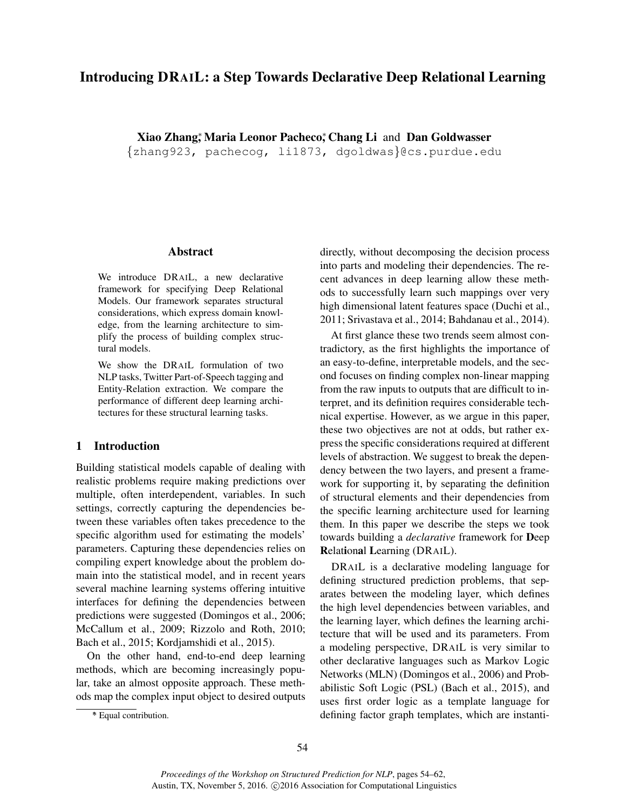# Introducing DRAIL: a Step Towards Declarative Deep Relational Learning

Xiao Zhang\*, Maria Leonor Pacheco\*, Chang Li and Dan Goldwasser

{zhang923, pachecog, li1873, dgoldwas}@cs.purdue.edu

#### Abstract

We introduce DRAIL, a new declarative framework for specifying Deep Relational Models. Our framework separates structural considerations, which express domain knowledge, from the learning architecture to simplify the process of building complex structural models.

We show the DRAIL formulation of two NLP tasks, Twitter Part-of-Speech tagging and Entity-Relation extraction. We compare the performance of different deep learning architectures for these structural learning tasks.

# 1 Introduction

Building statistical models capable of dealing with realistic problems require making predictions over multiple, often interdependent, variables. In such settings, correctly capturing the dependencies between these variables often takes precedence to the specific algorithm used for estimating the models' parameters. Capturing these dependencies relies on compiling expert knowledge about the problem domain into the statistical model, and in recent years several machine learning systems offering intuitive interfaces for defining the dependencies between predictions were suggested (Domingos et al., 2006; McCallum et al., 2009; Rizzolo and Roth, 2010; Bach et al., 2015; Kordjamshidi et al., 2015).

On the other hand, end-to-end deep learning methods, which are becoming increasingly popular, take an almost opposite approach. These methods map the complex input object to desired outputs

At first glance these two trends seem almost contradictory, as the first highlights the importance of an easy-to-define, interpretable models, and the second focuses on finding complex non-linear mapping from the raw inputs to outputs that are difficult to interpret, and its definition requires considerable technical expertise. However, as we argue in this paper, these two objectives are not at odds, but rather express the specific considerations required at different levels of abstraction. We suggest to break the dependency between the two layers, and present a framework for supporting it, by separating the definition of structural elements and their dependencies from the specific learning architecture used for learning them. In this paper we describe the steps we took towards building a *declarative* framework for Deep Relational Learning (DRAIL).

DRAIL is a declarative modeling language for defining structured prediction problems, that separates between the modeling layer, which defines the high level dependencies between variables, and the learning layer, which defines the learning architecture that will be used and its parameters. From a modeling perspective, DRAIL is very similar to other declarative languages such as Markov Logic Networks (MLN) (Domingos et al., 2006) and Probabilistic Soft Logic (PSL) (Bach et al., 2015), and uses first order logic as a template language for defining factor graph templates, which are instanti-

directly, without decomposing the decision process into parts and modeling their dependencies. The recent advances in deep learning allow these methods to successfully learn such mappings over very high dimensional latent features space (Duchi et al., 2011; Srivastava et al., 2014; Bahdanau et al., 2014).

<sup>∗</sup> \* Equal contribution.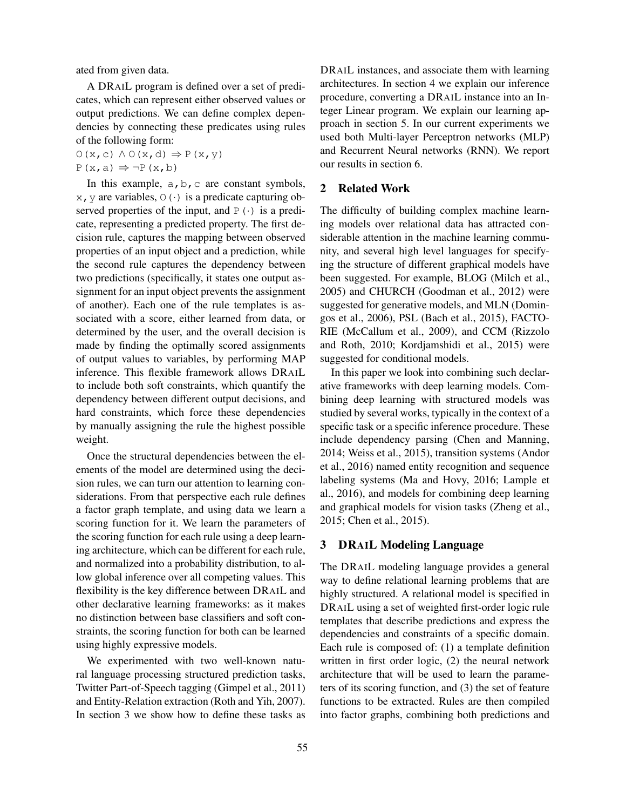ated from given data.

A DRAIL program is defined over a set of predicates, which can represent either observed values or output predictions. We can define complex dependencies by connecting these predicates using rules of the following form:

 $O(x, c) \land O(x, d) \Rightarrow P(x, y)$ 

 $P(x, a) \Rightarrow \neg P(x, b)$ 

In this example,  $a, b, c$  are constant symbols,  $x, y$  are variables,  $\circ$  ( $\cdot$ ) is a predicate capturing observed properties of the input, and  $P(\cdot)$  is a predicate, representing a predicted property. The first decision rule, captures the mapping between observed properties of an input object and a prediction, while the second rule captures the dependency between two predictions (specifically, it states one output assignment for an input object prevents the assignment of another). Each one of the rule templates is associated with a score, either learned from data, or determined by the user, and the overall decision is made by finding the optimally scored assignments of output values to variables, by performing MAP inference. This flexible framework allows DRAIL to include both soft constraints, which quantify the dependency between different output decisions, and hard constraints, which force these dependencies by manually assigning the rule the highest possible weight.

Once the structural dependencies between the elements of the model are determined using the decision rules, we can turn our attention to learning considerations. From that perspective each rule defines a factor graph template, and using data we learn a scoring function for it. We learn the parameters of the scoring function for each rule using a deep learning architecture, which can be different for each rule, and normalized into a probability distribution, to allow global inference over all competing values. This flexibility is the key difference between DRAIL and other declarative learning frameworks: as it makes no distinction between base classifiers and soft constraints, the scoring function for both can be learned using highly expressive models.

We experimented with two well-known natural language processing structured prediction tasks, Twitter Part-of-Speech tagging (Gimpel et al., 2011) and Entity-Relation extraction (Roth and Yih, 2007). In section 3 we show how to define these tasks as DRAIL instances, and associate them with learning architectures. In section 4 we explain our inference procedure, converting a DRAIL instance into an Integer Linear program. We explain our learning approach in section 5. In our current experiments we used both Multi-layer Perceptron networks (MLP) and Recurrent Neural networks (RNN). We report our results in section 6.

# 2 Related Work

The difficulty of building complex machine learning models over relational data has attracted considerable attention in the machine learning community, and several high level languages for specifying the structure of different graphical models have been suggested. For example, BLOG (Milch et al., 2005) and CHURCH (Goodman et al., 2012) were suggested for generative models, and MLN (Domingos et al., 2006), PSL (Bach et al., 2015), FACTO-RIE (McCallum et al., 2009), and CCM (Rizzolo and Roth, 2010; Kordjamshidi et al., 2015) were suggested for conditional models.

In this paper we look into combining such declarative frameworks with deep learning models. Combining deep learning with structured models was studied by several works, typically in the context of a specific task or a specific inference procedure. These include dependency parsing (Chen and Manning, 2014; Weiss et al., 2015), transition systems (Andor et al., 2016) named entity recognition and sequence labeling systems (Ma and Hovy, 2016; Lample et al., 2016), and models for combining deep learning and graphical models for vision tasks (Zheng et al., 2015; Chen et al., 2015).

# 3 DRAIL Modeling Language

The DRAIL modeling language provides a general way to define relational learning problems that are highly structured. A relational model is specified in DRAIL using a set of weighted first-order logic rule templates that describe predictions and express the dependencies and constraints of a specific domain. Each rule is composed of: (1) a template definition written in first order logic, (2) the neural network architecture that will be used to learn the parameters of its scoring function, and (3) the set of feature functions to be extracted. Rules are then compiled into factor graphs, combining both predictions and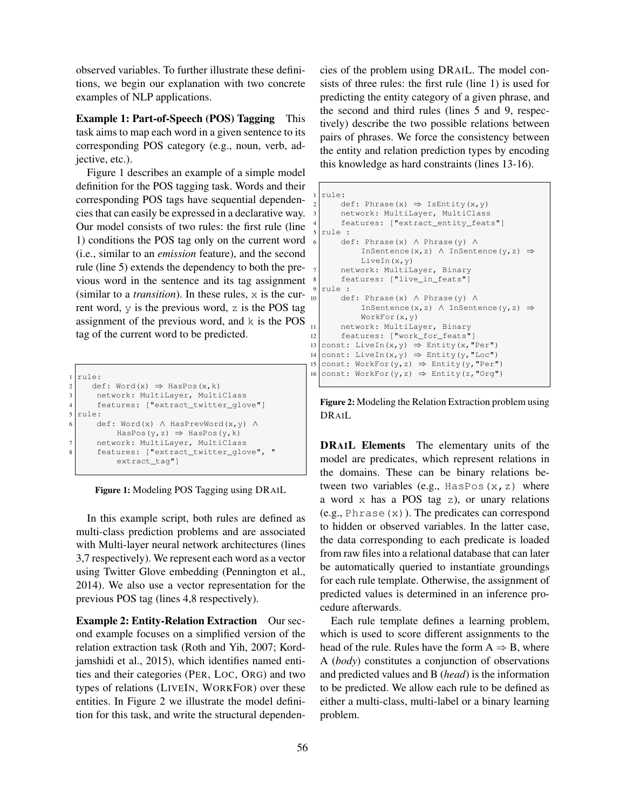observed variables. To further illustrate these definitions, we begin our explanation with two concrete examples of NLP applications.

Example 1: Part-of-Speech (POS) Tagging This task aims to map each word in a given sentence to its corresponding POS category (e.g., noun, verb, adjective, etc.).

Figure 1 describes an example of a simple model definition for the POS tagging task. Words and their corresponding POS tags have sequential dependencies that can easily be expressed in a declarative way. Our model consists of two rules: the first rule (line 1) conditions the POS tag only on the current word (i.e., similar to an *emission* feature), and the second rule (line 5) extends the dependency to both the previous word in the sentence and its tag assignment (similar to a *transition*). In these rules,  $\times$  is the current word,  $\gamma$  is the previous word, z is the POS tag assignment of the previous word, and k is the POS tag of the current word to be predicted.

|                | ilrule:                                        |
|----------------|------------------------------------------------|
| 2 I            | $def: Word(x) \Rightarrow HasPos(x, k)$        |
| 31             | network: MultiLayer, MultiClass                |
| $\overline{4}$ | features: ["extract twitter glove"]            |
| 5              | rule:                                          |
| 6              | $def: Word(x) \wedge HasPrevWord(x, y) \wedge$ |
|                | HasPos(y,z) $\Rightarrow$ HasPos(y,k)          |
|                | network: MultiLayer, MultiClass                |
| 8              | features: ["extract_twitter_qlove", "          |
|                | $extract\_tag"]$                               |
|                |                                                |

Figure 1: Modeling POS Tagging using DRAIL

In this example script, both rules are defined as multi-class prediction problems and are associated with Multi-layer neural network architectures (lines 3,7 respectively). We represent each word as a vector using Twitter Glove embedding (Pennington et al., 2014). We also use a vector representation for the previous POS tag (lines 4,8 respectively).

Example 2: Entity-Relation Extraction Our second example focuses on a simplified version of the relation extraction task (Roth and Yih, 2007; Kordjamshidi et al., 2015), which identifies named entities and their categories (PER, LOC, ORG) and two types of relations (LIVEIN, WORKFOR) over these entities. In Figure 2 we illustrate the model definition for this task, and write the structural dependencies of the problem using DRAIL. The model consists of three rules: the first rule (line 1) is used for predicting the entity category of a given phrase, and the second and third rules (lines 5 and 9, respectively) describe the two possible relations between pairs of phrases. We force the consistency between the entity and relation prediction types by encoding this knowledge as hard constraints (lines 13-16).

```
rule:
2 def: Phrase(x) ⇒ IsEntity(x,y)<br>3 network: MultiLayer, MultiClass
         network: MultiLayer, MultiClass
         4 features: ["extract_entity_feats"]
5 rule :
6 def: Phrase(x) ∧ Phrase(y) ∧
               InSentence(x,z) \land InSentence(y,z) \RightarrowLiveIn(x,y)
7 network: MultiLayer, Binary
8 features: ["live_in_feats"]
   9 rule :
        10 def: Phrase(x) ∧ Phrase(y) ∧
               InSentence(x,z) \land InSentence(y,z) \RightarrowWorkFor(x,y)
11 network: MultiLayer, Binary
12 features: ["work_for_feats"]
13 const: LiveIn(x, y) \Rightarrow Entity(x, "Per") 14 const: LiveIn(x, y) \Rightarrow Entity(v, "Loc")
14 const: LiveIn(x, y) \Rightarrow Entity(y, "Loc")<br>15 const: WorkFor(v, z) \Rightarrow Entity(v, "Per"
15 const: WorkFor(y,z) \Rightarrow Entity(y, "Per")<br>16 const: WorkFor(v,z) \Rightarrow Entity(z, "Org")
   const: WorkFor(y,z) \Rightarrow Entity(z, "Org")
```
Figure 2: Modeling the Relation Extraction problem using DRAIL

DRAIL Elements The elementary units of the model are predicates, which represent relations in the domains. These can be binary relations between two variables (e.g., HasPos $(x, z)$  where a word x has a POS tag z), or unary relations  $(e.g., Phrase(x))$ . The predicates can correspond to hidden or observed variables. In the latter case, the data corresponding to each predicate is loaded from raw files into a relational database that can later be automatically queried to instantiate groundings for each rule template. Otherwise, the assignment of predicted values is determined in an inference procedure afterwards.

Each rule template defines a learning problem, which is used to score different assignments to the head of the rule. Rules have the form  $A \Rightarrow B$ , where A (*body*) constitutes a conjunction of observations and predicted values and B (*head*) is the information to be predicted. We allow each rule to be defined as either a multi-class, multi-label or a binary learning problem.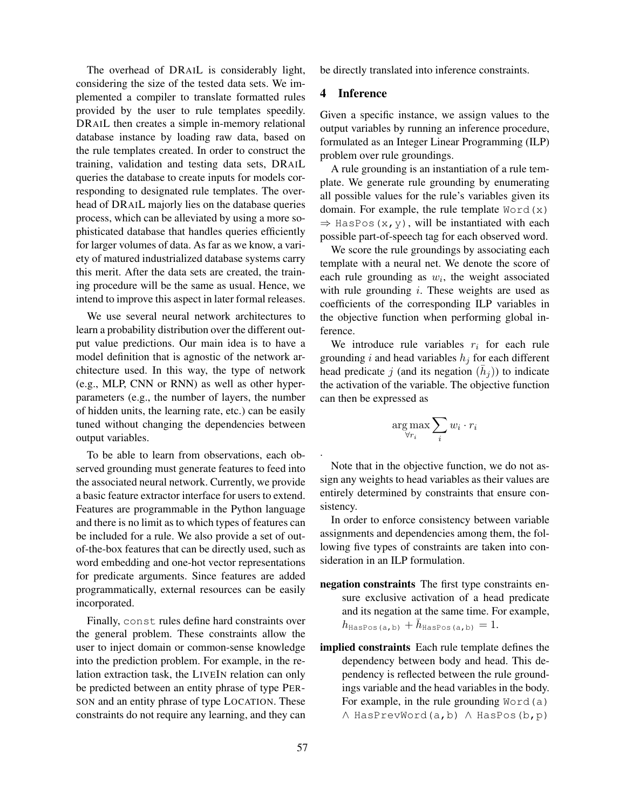The overhead of DRAIL is considerably light, considering the size of the tested data sets. We implemented a compiler to translate formatted rules provided by the user to rule templates speedily. DRAIL then creates a simple in-memory relational database instance by loading raw data, based on the rule templates created. In order to construct the training, validation and testing data sets, DRAIL queries the database to create inputs for models corresponding to designated rule templates. The overhead of DRAIL majorly lies on the database queries process, which can be alleviated by using a more sophisticated database that handles queries efficiently for larger volumes of data. As far as we know, a variety of matured industrialized database systems carry this merit. After the data sets are created, the training procedure will be the same as usual. Hence, we intend to improve this aspect in later formal releases.

We use several neural network architectures to learn a probability distribution over the different output value predictions. Our main idea is to have a model definition that is agnostic of the network architecture used. In this way, the type of network (e.g., MLP, CNN or RNN) as well as other hyperparameters (e.g., the number of layers, the number of hidden units, the learning rate, etc.) can be easily tuned without changing the dependencies between output variables.

To be able to learn from observations, each observed grounding must generate features to feed into the associated neural network. Currently, we provide a basic feature extractor interface for users to extend. Features are programmable in the Python language and there is no limit as to which types of features can be included for a rule. We also provide a set of outof-the-box features that can be directly used, such as word embedding and one-hot vector representations for predicate arguments. Since features are added programmatically, external resources can be easily incorporated.

Finally, const rules define hard constraints over the general problem. These constraints allow the user to inject domain or common-sense knowledge into the prediction problem. For example, in the relation extraction task, the LIVEIN relation can only be predicted between an entity phrase of type PER-SON and an entity phrase of type LOCATION. These constraints do not require any learning, and they can be directly translated into inference constraints.

## 4 Inference

Given a specific instance, we assign values to the output variables by running an inference procedure, formulated as an Integer Linear Programming (ILP) problem over rule groundings.

A rule grounding is an instantiation of a rule template. We generate rule grounding by enumerating all possible values for the rule's variables given its domain. For example, the rule template  $Word(x)$  $\Rightarrow$  HasPos(x,y), will be instantiated with each possible part-of-speech tag for each observed word.

We score the rule groundings by associating each template with a neural net. We denote the score of each rule grounding as  $w_i$ , the weight associated with rule grounding  $i$ . These weights are used as coefficients of the corresponding ILP variables in the objective function when performing global inference.

We introduce rule variables  $r_i$  for each rule grounding i and head variables  $h_j$  for each different head predicate j (and its negation  $(\bar{h}_j)$ ) to indicate the activation of the variable. The objective function can then be expressed as

$$
\argmax_{\forall r_i} \sum_i w_i \cdot r_i
$$

Note that in the objective function, we do not assign any weights to head variables as their values are entirely determined by constraints that ensure consistency.

In order to enforce consistency between variable assignments and dependencies among them, the following five types of constraints are taken into consideration in an ILP formulation.

- negation constraints The first type constraints ensure exclusive activation of a head predicate and its negation at the same time. For example,  $h_{\texttt{HasPos(a,b)}} + \bar{h}_{\texttt{HasPos(a,b)}} = 1.$
- implied constraints Each rule template defines the dependency between body and head. This dependency is reflected between the rule groundings variable and the head variables in the body. For example, in the rule grounding  $Word(a)$ ∧ HasPrevWord(a,b) ∧ HasPos(b,p)

.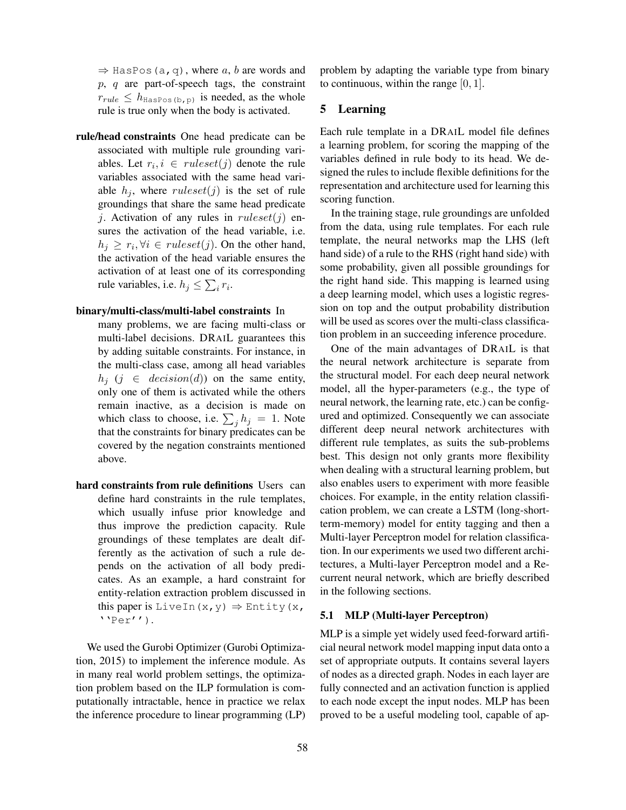$\Rightarrow$  HasPos(a,q), where a, b are words and  $p, q$  are part-of-speech tags, the constraint  $r_{rule} \leq h_{\text{HasPos (b,p)}}$  is needed, as the whole rule is true only when the body is activated.

rule/head constraints One head predicate can be associated with multiple rule grounding variables. Let  $r_i, i \in ruleset(j)$  denote the rule variables associated with the same head variable  $h_j$ , where ruleset(j) is the set of rule groundings that share the same head predicate j. Activation of any rules in  $ruleset(j)$  ensures the activation of the head variable, i.e.  $h_j \geq r_i, \forall i \in ruleset(j)$ . On the other hand, the activation of the head variable ensures the activation of at least one of its corresponding rule variables, i.e.  $h_j \leq \sum_i r_i$ .

### binary/multi-class/multi-label constraints In

- many problems, we are facing multi-class or multi-label decisions. DRAIL guarantees this by adding suitable constraints. For instance, in the multi-class case, among all head variables  $h_i$  ( $i \in decision(d)$ ) on the same entity, only one of them is activated while the others remain inactive, as a decision is made on which class to choose, i.e.  $\sum_j h_j = 1$ . Note that the constraints for binary predicates can be covered by the negation constraints mentioned above.
- hard constraints from rule definitions Users can define hard constraints in the rule templates, which usually infuse prior knowledge and thus improve the prediction capacity. Rule groundings of these templates are dealt differently as the activation of such a rule depends on the activation of all body predicates. As an example, a hard constraint for entity-relation extraction problem discussed in this paper is LiveIn(x, y)  $\Rightarrow$  Entity(x,  $'$ ' $Per'$ ').

We used the Gurobi Optimizer (Gurobi Optimization, 2015) to implement the inference module. As in many real world problem settings, the optimization problem based on the ILP formulation is computationally intractable, hence in practice we relax the inference procedure to linear programming (LP) problem by adapting the variable type from binary to continuous, within the range  $[0, 1]$ .

## 5 Learning

Each rule template in a DRAIL model file defines a learning problem, for scoring the mapping of the variables defined in rule body to its head. We designed the rules to include flexible definitions for the representation and architecture used for learning this scoring function.

In the training stage, rule groundings are unfolded from the data, using rule templates. For each rule template, the neural networks map the LHS (left hand side) of a rule to the RHS (right hand side) with some probability, given all possible groundings for the right hand side. This mapping is learned using a deep learning model, which uses a logistic regression on top and the output probability distribution will be used as scores over the multi-class classification problem in an succeeding inference procedure.

One of the main advantages of DRAIL is that the neural network architecture is separate from the structural model. For each deep neural network model, all the hyper-parameters (e.g., the type of neural network, the learning rate, etc.) can be configured and optimized. Consequently we can associate different deep neural network architectures with different rule templates, as suits the sub-problems best. This design not only grants more flexibility when dealing with a structural learning problem, but also enables users to experiment with more feasible choices. For example, in the entity relation classification problem, we can create a LSTM (long-shortterm-memory) model for entity tagging and then a Multi-layer Perceptron model for relation classification. In our experiments we used two different architectures, a Multi-layer Perceptron model and a Recurrent neural network, which are briefly described in the following sections.

#### 5.1 MLP (Multi-layer Perceptron)

MLP is a simple yet widely used feed-forward artificial neural network model mapping input data onto a set of appropriate outputs. It contains several layers of nodes as a directed graph. Nodes in each layer are fully connected and an activation function is applied to each node except the input nodes. MLP has been proved to be a useful modeling tool, capable of ap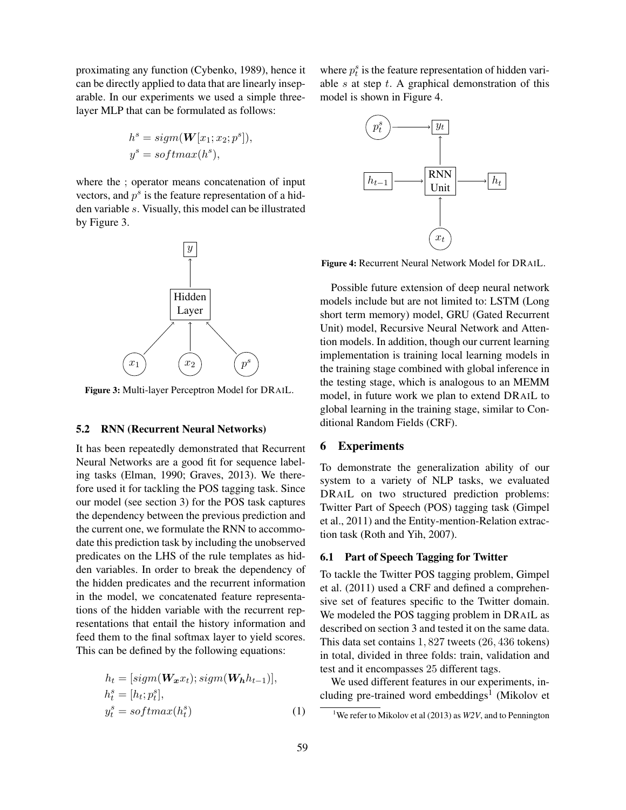proximating any function (Cybenko, 1989), hence it can be directly applied to data that are linearly inseparable. In our experiments we used a simple threelayer MLP that can be formulated as follows:

$$
hs = sign(W[x1; x2; ps]),
$$
  

$$
ys = softmax(hs),
$$

where the ; operator means concatenation of input vectors, and  $p<sup>s</sup>$  is the feature representation of a hidden variable s. Visually, this model can be illustrated by Figure 3.



Figure 3: Multi-layer Perceptron Model for DRAIL.

#### 5.2 RNN (Recurrent Neural Networks)

It has been repeatedly demonstrated that Recurrent Neural Networks are a good fit for sequence labeling tasks (Elman, 1990; Graves, 2013). We therefore used it for tackling the POS tagging task. Since our model (see section 3) for the POS task captures the dependency between the previous prediction and the current one, we formulate the RNN to accommodate this prediction task by including the unobserved predicates on the LHS of the rule templates as hidden variables. In order to break the dependency of the hidden predicates and the recurrent information in the model, we concatenated feature representations of the hidden variable with the recurrent representations that entail the history information and feed them to the final softmax layer to yield scores. This can be defined by the following equations:

$$
h_t = [sigm(\mathbf{W}_x x_t); sigm(\mathbf{W}_h h_{t-1})],
$$
  
\n
$$
h_t^s = [h_t; p_t^s],
$$
  
\n
$$
y_t^s = softmax(h_t^s)
$$
\n(1)

where  $p_t^s$  is the feature representation of hidden variable  $s$  at step  $t$ . A graphical demonstration of this model is shown in Figure 4.



Figure 4: Recurrent Neural Network Model for DRAIL.

Possible future extension of deep neural network models include but are not limited to: LSTM (Long short term memory) model, GRU (Gated Recurrent Unit) model, Recursive Neural Network and Attention models. In addition, though our current learning implementation is training local learning models in the training stage combined with global inference in the testing stage, which is analogous to an MEMM model, in future work we plan to extend DRAIL to global learning in the training stage, similar to Conditional Random Fields (CRF).

### 6 Experiments

To demonstrate the generalization ability of our system to a variety of NLP tasks, we evaluated DRAIL on two structured prediction problems: Twitter Part of Speech (POS) tagging task (Gimpel et al., 2011) and the Entity-mention-Relation extraction task (Roth and Yih, 2007).

## 6.1 Part of Speech Tagging for Twitter

To tackle the Twitter POS tagging problem, Gimpel et al. (2011) used a CRF and defined a comprehensive set of features specific to the Twitter domain. We modeled the POS tagging problem in DRAIL as described on section 3 and tested it on the same data. This data set contains 1, 827 tweets (26, 436 tokens) in total, divided in three folds: train, validation and test and it encompasses 25 different tags.

We used different features in our experiments, including pre-trained word embeddings<sup>1</sup> (Mikolov et

<sup>&</sup>lt;sup>1</sup>We refer to Mikolov et al (2013) as *W2V*, and to Pennington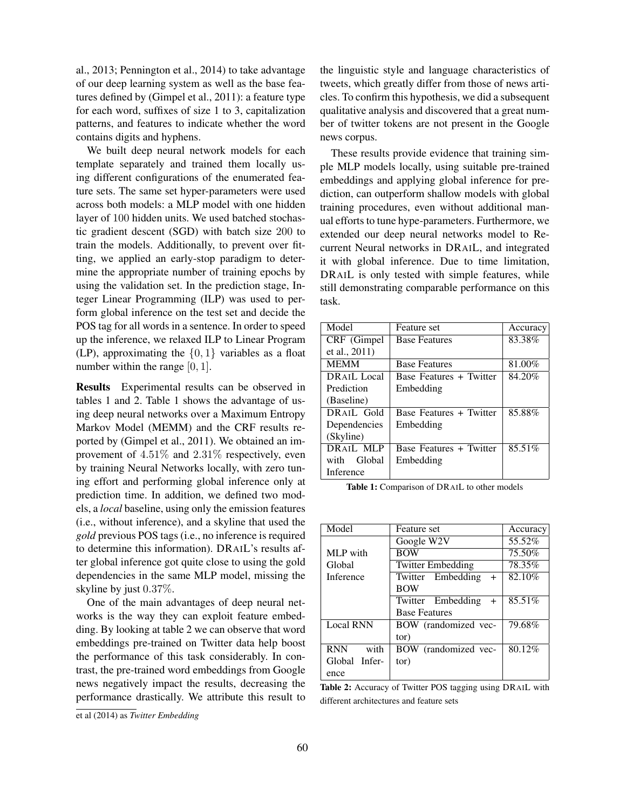al., 2013; Pennington et al., 2014) to take advantage of our deep learning system as well as the base features defined by (Gimpel et al., 2011): a feature type for each word, suffixes of size 1 to 3, capitalization patterns, and features to indicate whether the word contains digits and hyphens.

We built deep neural network models for each template separately and trained them locally using different configurations of the enumerated feature sets. The same set hyper-parameters were used across both models: a MLP model with one hidden layer of 100 hidden units. We used batched stochastic gradient descent (SGD) with batch size 200 to train the models. Additionally, to prevent over fitting, we applied an early-stop paradigm to determine the appropriate number of training epochs by using the validation set. In the prediction stage, Integer Linear Programming (ILP) was used to perform global inference on the test set and decide the POS tag for all words in a sentence. In order to speed up the inference, we relaxed ILP to Linear Program (LP), approximating the  $\{0, 1\}$  variables as a float number within the range [0, 1].

Results Experimental results can be observed in tables 1 and 2. Table 1 shows the advantage of using deep neural networks over a Maximum Entropy Markov Model (MEMM) and the CRF results reported by (Gimpel et al., 2011). We obtained an improvement of 4.51% and 2.31% respectively, even by training Neural Networks locally, with zero tuning effort and performing global inference only at prediction time. In addition, we defined two models, a *local* baseline, using only the emission features (i.e., without inference), and a skyline that used the *gold* previous POS tags (i.e., no inference is required to determine this information). DRAIL's results after global inference got quite close to using the gold dependencies in the same MLP model, missing the skyline by just 0.37%.

One of the main advantages of deep neural networks is the way they can exploit feature embedding. By looking at table 2 we can observe that word embeddings pre-trained on Twitter data help boost the performance of this task considerably. In contrast, the pre-trained word embeddings from Google news negatively impact the results, decreasing the performance drastically. We attribute this result to the linguistic style and language characteristics of tweets, which greatly differ from those of news articles. To confirm this hypothesis, we did a subsequent qualitative analysis and discovered that a great number of twitter tokens are not present in the Google news corpus.

These results provide evidence that training simple MLP models locally, using suitable pre-trained embeddings and applying global inference for prediction, can outperform shallow models with global training procedures, even without additional manual efforts to tune hype-parameters. Furthermore, we extended our deep neural networks model to Recurrent Neural networks in DRAIL, and integrated it with global inference. Due to time limitation, DRAIL is only tested with simple features, while still demonstrating comparable performance on this task.

| Feature set             | Accuracy |
|-------------------------|----------|
| <b>Base Features</b>    | 83.38%   |
|                         |          |
| <b>Base Features</b>    | 81.00%   |
| Base Features + Twitter | 84.20%   |
| Embedding               |          |
|                         |          |
| Base Features + Twitter | 85.88%   |
| Embedding               |          |
|                         |          |
| Base Features + Twitter | 85.51%   |
| Embedding               |          |
|                         |          |
|                         |          |

Table 1: Comparison of DRAIL to other models

| Model              | Feature set              | Accuracy |
|--------------------|--------------------------|----------|
|                    | Google W2V               | 55.52%   |
| MLP with           | <b>BOW</b>               | 75.50%   |
| Global             | <b>Twitter Embedding</b> | 78.35%   |
| Inference          | Twitter Embedding<br>$+$ | 82.10%   |
|                    | <b>BOW</b>               |          |
|                    | Twitter Embedding<br>$+$ | 85.51%   |
|                    | <b>Base Features</b>     |          |
| <b>Local RNN</b>   | BOW (randomized vec-     | 79.68%   |
|                    | tor)                     |          |
| <b>RNN</b><br>with | BOW (randomized vec-     | 80.12%   |
| Global Infer-      | tor)                     |          |
| ence               |                          |          |

Table 2: Accuracy of Twitter POS tagging using DRAIL with different architectures and feature sets

et al (2014) as *Twitter Embedding*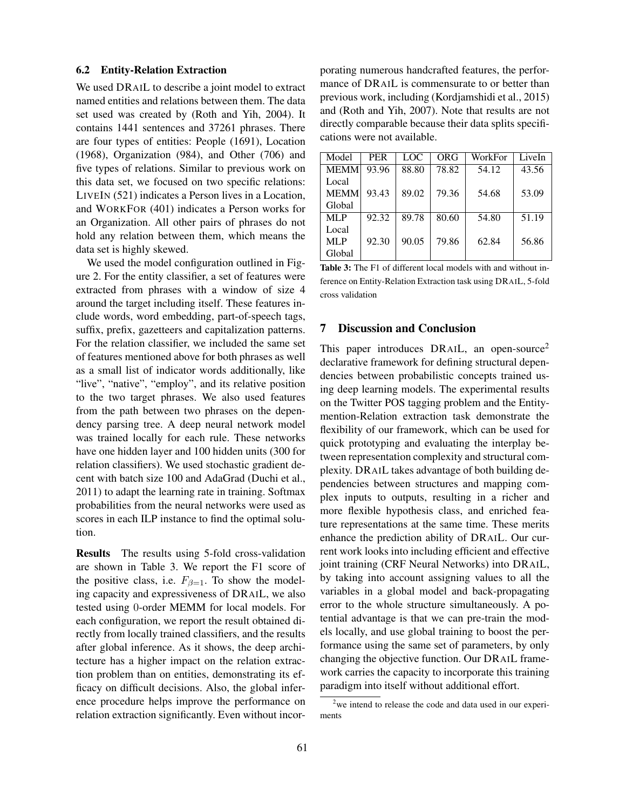#### 6.2 Entity-Relation Extraction

We used DRAIL to describe a joint model to extract named entities and relations between them. The data set used was created by (Roth and Yih, 2004). It contains 1441 sentences and 37261 phrases. There are four types of entities: People (1691), Location (1968), Organization (984), and Other (706) and five types of relations. Similar to previous work on this data set, we focused on two specific relations: LIVEIN (521) indicates a Person lives in a Location, and WORKFOR (401) indicates a Person works for an Organization. All other pairs of phrases do not hold any relation between them, which means the data set is highly skewed.

We used the model configuration outlined in Figure 2. For the entity classifier, a set of features were extracted from phrases with a window of size 4 around the target including itself. These features include words, word embedding, part-of-speech tags, suffix, prefix, gazetteers and capitalization patterns. For the relation classifier, we included the same set of features mentioned above for both phrases as well as a small list of indicator words additionally, like "live", "native", "employ", and its relative position to the two target phrases. We also used features from the path between two phrases on the dependency parsing tree. A deep neural network model was trained locally for each rule. These networks have one hidden layer and 100 hidden units (300 for relation classifiers). We used stochastic gradient decent with batch size 100 and AdaGrad (Duchi et al., 2011) to adapt the learning rate in training. Softmax probabilities from the neural networks were used as scores in each ILP instance to find the optimal solution.

Results The results using 5-fold cross-validation are shown in Table 3. We report the F1 score of the positive class, i.e.  $F_{\beta=1}$ . To show the modeling capacity and expressiveness of DRAIL, we also tested using 0-order MEMM for local models. For each configuration, we report the result obtained directly from locally trained classifiers, and the results after global inference. As it shows, the deep architecture has a higher impact on the relation extraction problem than on entities, demonstrating its efficacy on difficult decisions. Also, the global inference procedure helps improve the performance on relation extraction significantly. Even without incorporating numerous handcrafted features, the performance of DRAIL is commensurate to or better than previous work, including (Kordjamshidi et al., 2015) and (Roth and Yih, 2007). Note that results are not directly comparable because their data splits specifications were not available.

| Model       | <b>PER</b> | LOC   | ORG   | WorkFor | LiveIn |
|-------------|------------|-------|-------|---------|--------|
| <b>MEMM</b> | 93.96      | 88.80 | 78.82 | 54.12   | 43.56  |
| Local       |            |       |       |         |        |
| <b>MEMM</b> | 93.43      | 89.02 | 79.36 | 54.68   | 53.09  |
| Global      |            |       |       |         |        |
| ML P        | 92.32      | 89.78 | 80.60 | 54.80   | 51.19  |
| Local       |            |       |       |         |        |
| MLP         | 92.30      | 90.05 | 79.86 | 62.84   | 56.86  |
| Global      |            |       |       |         |        |

Table 3: The F1 of different local models with and without inference on Entity-Relation Extraction task using DRAIL, 5-fold cross validation

## 7 Discussion and Conclusion

This paper introduces DRAIL, an open-source<sup>2</sup> declarative framework for defining structural dependencies between probabilistic concepts trained using deep learning models. The experimental results on the Twitter POS tagging problem and the Entitymention-Relation extraction task demonstrate the flexibility of our framework, which can be used for quick prototyping and evaluating the interplay between representation complexity and structural complexity. DRAIL takes advantage of both building dependencies between structures and mapping complex inputs to outputs, resulting in a richer and more flexible hypothesis class, and enriched feature representations at the same time. These merits enhance the prediction ability of DRAIL. Our current work looks into including efficient and effective joint training (CRF Neural Networks) into DRAIL, by taking into account assigning values to all the variables in a global model and back-propagating error to the whole structure simultaneously. A potential advantage is that we can pre-train the models locally, and use global training to boost the performance using the same set of parameters, by only changing the objective function. Our DRAIL framework carries the capacity to incorporate this training paradigm into itself without additional effort.

<sup>&</sup>lt;sup>2</sup>we intend to release the code and data used in our experiments